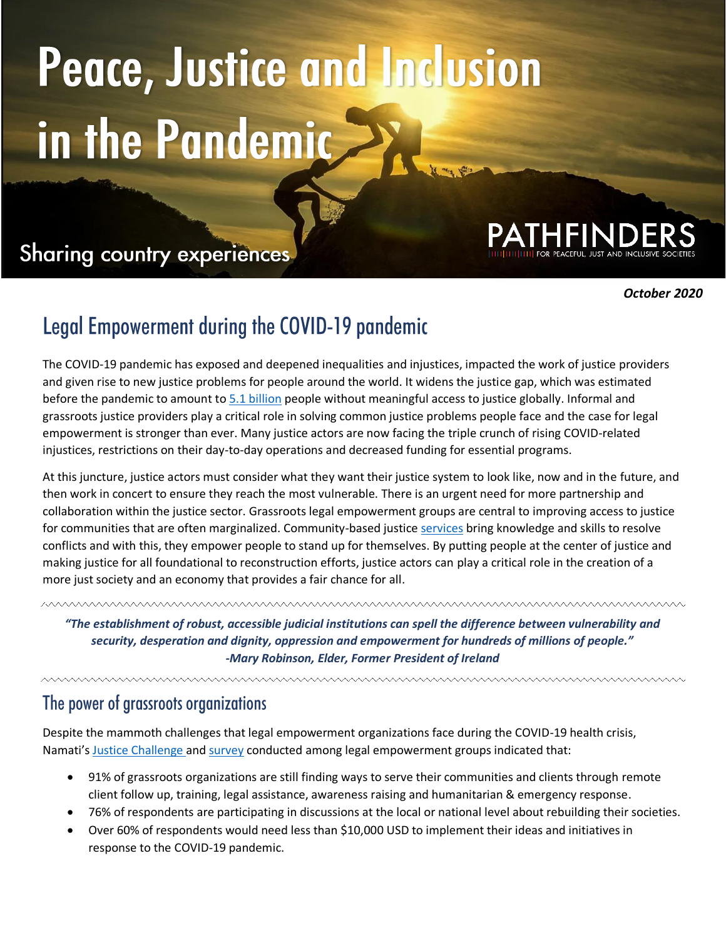# Peace, Justice and Inclusion in the Pandemic

## **Sharing country experiences**



*October 2020*

## **Legal Empowerment during the COVID-19 pandemic**

The COVID-19 pandemic has exposed and deepened inequalities and injustices, impacted the work of justice providers and given rise to new justice problems for people around the world. It widens the justice gap, which was estimated before the pandemic to amount t[o 5.1 billion](https://bf889554-6857-4cfe-8d55-8770007b8841.filesusr.com/ugd/90b3d6_746fc8e4f9404abeb994928d3fe85c9e.pdf) people without meaningful access to justice globally. Informal and grassroots justice providers play a critical role in solving common justice problems people face and the case for legal empowerment is stronger than ever. Many justice actors are now facing the triple crunch of rising COVID-related injustices, restrictions on their day-to-day operations and decreased funding for essential programs.

At this juncture, justice actors must consider what they want their justice system to look like, now and in the future, and then work in concert to ensure they reach the most vulnerable. There is an urgent need for more partnership and collaboration within the justice sector. Grassroots legal empowerment groups are central to improving access to justice for communities that are often marginalized. Community-based justice [services](https://www.opensocietyfoundations.org/voices/how-the-law-can-empower-victims-of-covid-19) bring knowledge and skills to resolve conflicts and with this, they empower people to stand up for themselves. By putting people at the center of justice and making justice for all foundational to reconstruction efforts, justice actors can play a critical role in the creation of a more just society and an economy that provides a fair chance for all.

*"The establishment of robust, accessible judicial institutions can spell the difference between vulnerability and security, desperation and dignity, oppression and empowerment for hundreds of millions of people." -Mary Robinson, Elder, Former President of Ireland*

#### The power of grassroots organizations

Despite the mammoth challenges that legal empowerment organizations face during the COVID-19 health crisis, Namati's [Justice Challenge](s25642.pcdn.co/wp-content/uploads/2020/07/Results-COVID-19-Justice-Challenge.pdf) and [survey](https://docs.google.com/spreadsheets/d/10Y8cGu1fFUbxaHVmgZrBYcSDndz_a6zB7aeYl1U0mPM/edit#gid=0) conducted among legal empowerment groups indicated that:

- 91% of grassroots organizations are still finding ways to serve their communities and clients through remote client follow up, training, legal assistance, awareness raising and humanitarian & emergency response.
- 76% of respondents are participating in discussions at the local or national level about rebuilding their societies.
- Over 60% of respondents would need less than \$10,000 USD to implement their ideas and initiatives in response to the COVID-19 pandemic.